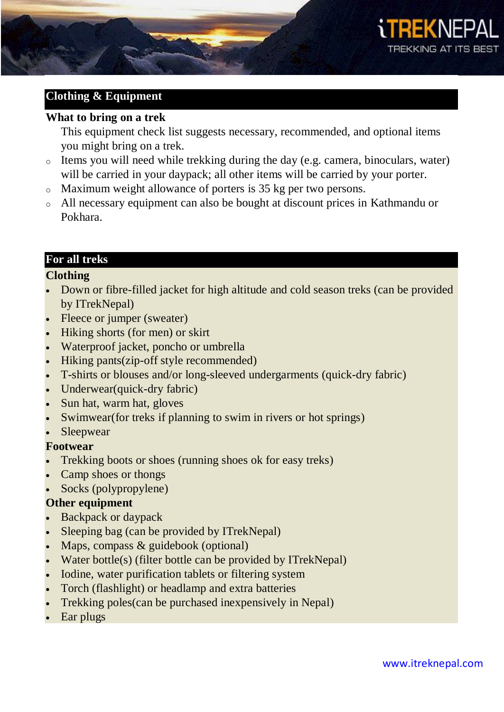

# **Clothing & Equipment**

### **What to bring on a trek**

This equipment check list suggests necessary, recommended, and optional items you might bring on a trek.

- o Items you will need while trekking during the day (e.g. camera, binoculars, water) will be carried in your daypack; all other items will be carried by your porter.
- o Maximum weight allowance of porters is 35 kg per two persons.
- o All necessary equipment can also be bought at discount prices in Kathmandu or Pokhara.

# **For all treks**

### **Clothing**

- Down or fibre-filled jacket for high altitude and cold season treks (can be provided by ITrekNepal)
- Fleece or jumper (sweater)
- Hiking shorts (for men) or skirt
- Waterproof jacket, poncho or umbrella
- Hiking pants(zip-off style recommended)
- T-shirts or blouses and/or long-sleeved undergarments (quick-dry fabric)
- Underwear(quick-dry fabric)
- Sun hat, warm hat, gloves
- Swimwear(for treks if planning to swim in rivers or hot springs)
- Sleepwear

### **Footwear**

- Trekking boots or shoes (running shoes ok for easy treks)
- Camp shoes or thongs
- Socks (polypropylene)

### **Other equipment**

- Backpack or daypack
- Sleeping bag (can be provided by ITrekNepal)
- Maps, compass  $&$  guidebook (optional)
- Water bottle(s) (filter bottle can be provided by ITrekNepal)
- Iodine, water purification tablets or filtering system
- Torch (flashlight) or headlamp and extra batteries
- Trekking poles(can be purchased inexpensively in Nepal)
- Ear plugs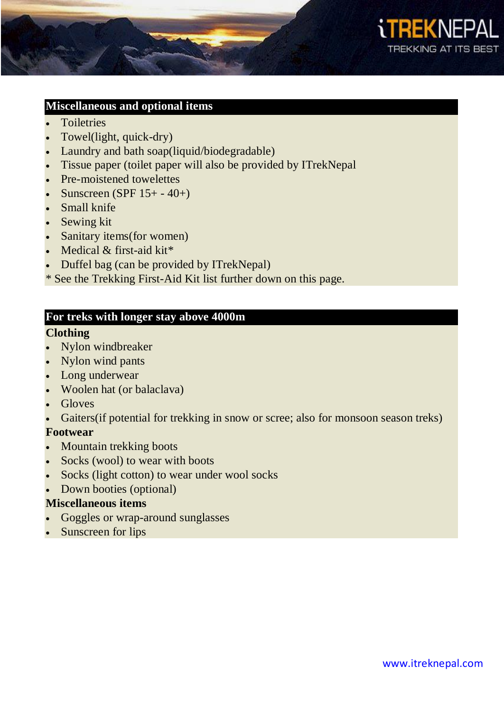

#### **Miscellaneous and optional items**

- **Toiletries**
- Towel(light, quick-dry)
- Laundry and bath soap(liquid/biodegradable)
- Tissue paper (toilet paper will also be provided by ITrekNepal
- Pre-moistened towelettes
- Sunscreen (SPF  $15+ -40+$ )
- Small knife
- Sewing kit
- Sanitary items(for women)
- Medical  $&$  first-aid kit\*
- Duffel bag (can be provided by ITrekNepal)

\* See the Trekking First-Aid Kit list further down on this page.

### **For treks with longer stay above 4000m**

# **Clothing**

- Nylon windbreaker
- Nylon wind pants
- Long underwear
- Woolen hat (or balaclava)
- Gloves
- Gaiters(if potential for trekking in snow or scree; also for monsoon season treks)

### **Footwear**

- Mountain trekking boots
- Socks (wool) to wear with boots
- Socks (light cotton) to wear under wool socks
- Down booties (optional)

### **Miscellaneous items**

- Goggles or wrap-around sunglasses
- Sunscreen for lips